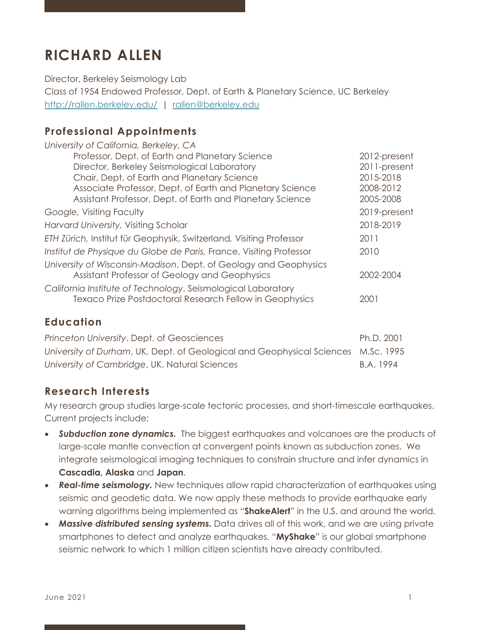# **RICHARD ALLEN**

Director, Berkeley Seismology Lab

Class of 1954 Endowed Professor, Dept. of Earth & Planetary Science, UC Berkeley http://rallen.berkeley.edu/ | rallen@berkeley.edu

# **Professional Appointments**

| University of California, Berkeley, CA                              |              |
|---------------------------------------------------------------------|--------------|
| Professor, Dept. of Earth and Planetary Science                     | 2012-present |
| Director, Berkeley Seismological Laboratory                         | 2011-present |
| Chair, Dept. of Earth and Planetary Science                         | 2015-2018    |
| Associate Professor, Dept. of Earth and Planetary Science           | 2008-2012    |
| Assistant Professor, Dept. of Earth and Planetary Science           | 2005-2008    |
| Google, Visiting Faculty                                            | 2019-present |
| Harvard University, Visiting Scholar                                | 2018-2019    |
| ETH Zürich, Institut für Geophysik, Switzerland, Visiting Professor | 2011         |
| Institut de Physique du Globe de Paris, France, Visiting Professor  | 2010         |
| University of Wisconsin-Madison, Dept. of Geology and Geophysics    |              |
| Assistant Professor of Geology and Geophysics                       | 2002-2004    |
| California Institute of Technology, Seismological Laboratory        |              |
| Texaco Prize Postdoctoral Research Fellow in Geophysics             | 2001         |
|                                                                     |              |

## **Education**

| Princeton University. Dept. of Geosciences                                        | Ph.D. 2001 |
|-----------------------------------------------------------------------------------|------------|
| University of Durham, UK. Dept. of Geological and Geophysical Sciences M.Sc. 1995 |            |
| University of Cambridge, UK. Natural Sciences                                     | B.A. 1994  |

## **Research Interests**

My research group studies large-scale tectonic processes, and short-timescale earthquakes. Current projects include:

- *Subduction zone dynamics.* The biggest earthquakes and volcanoes are the products of large-scale mantle convection at convergent points known as subduction zones. We integrate seismological imaging techniques to constrain structure and infer dynamics in **Cascadia, Alaska** and **Japan**.
- *Real-time seismology.* New techniques allow rapid characterization of earthquakes using seismic and geodetic data. We now apply these methods to provide earthquake early warning algorithms being implemented as "**ShakeAlert**" in the U.S. and around the world.
- *Massive distributed sensing systems.* Data drives all of this work, and we are using private smartphones to detect and analyze earthquakes. "**MyShake**" is our global smartphone seismic network to which 1 million citizen scientists have already contributed.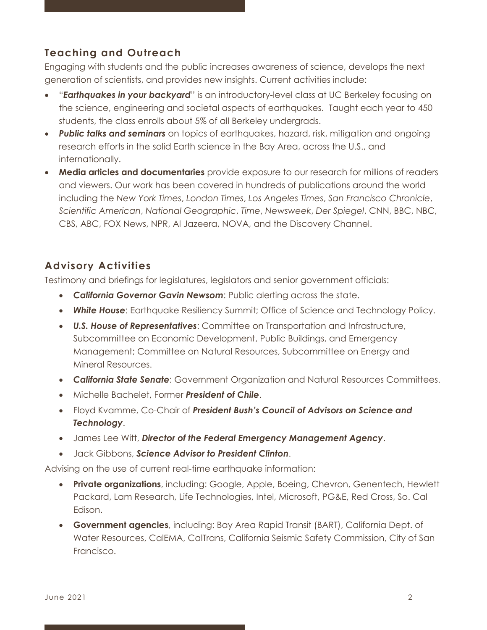# **Teaching and Outreach**

Engaging with students and the public increases awareness of science, develops the next generation of scientists, and provides new insights. Current activities include:

- "*Earthquakes in your backyard*" is an introductory-level class at UC Berkeley focusing on the science, engineering and societal aspects of earthquakes. Taught each year to 450 students, the class enrolls about 5% of all Berkeley undergrads.
- *Public talks and seminars* on topics of earthquakes, hazard, risk, mitigation and ongoing research efforts in the solid Earth science in the Bay Area, across the U.S., and internationally.
- **Media articles and documentaries** provide exposure to our research for millions of readers and viewers. Our work has been covered in hundreds of publications around the world including the *New York Times*, *London Times*, *Los Angeles Times*, *San Francisco Chronicle*, *Scientific American*, *National Geographic*, *Time*, *Newsweek*, *Der Spiegel*, CNN, BBC, NBC, CBS, ABC, FOX News, NPR, Al Jazeera, NOVA, and the Discovery Channel.

# **Advisory Activities**

Testimony and briefings for legislatures, legislators and senior government officials:

- *California Governor Gavin Newsom*: Public alerting across the state.
- *White House*: Earthquake Resiliency Summit; Office of Science and Technology Policy.
- *U.S. House of Representatives*: Committee on Transportation and Infrastructure, Subcommittee on Economic Development, Public Buildings, and Emergency Management; Committee on Natural Resources, Subcommittee on Energy and Mineral Resources.
- *California State Senate*: Government Organization and Natural Resources Committees.
- Michelle Bachelet, Former *President of Chile*.
- Floyd Kvamme, Co-Chair of *President Bush's Council of Advisors on Science and Technology*.
- James Lee Witt, *Director of the Federal Emergency Management Agency*.
- Jack Gibbons, *Science Advisor to President Clinton*.

Advising on the use of current real-time earthquake information:

- **Private organizations**, including: Google, Apple, Boeing, Chevron, Genentech, Hewlett Packard, Lam Research, Life Technologies, Intel, Microsoft, PG&E, Red Cross, So. Cal Edison.
- **Government agencies**, including: Bay Area Rapid Transit (BART), California Dept. of Water Resources, CalEMA, CalTrans, California Seismic Safety Commission, City of San Francisco.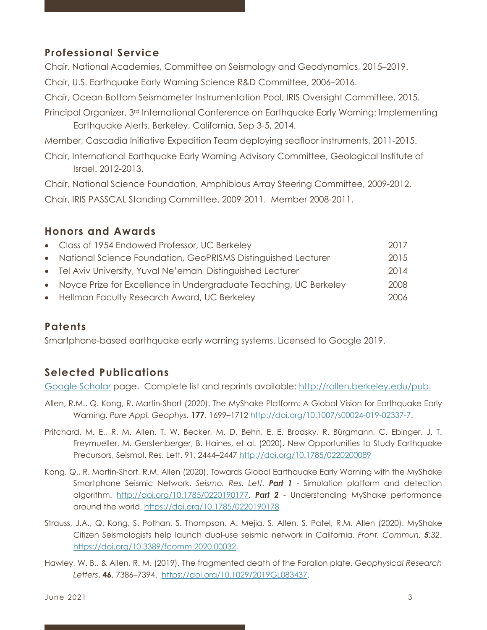## **Professional Service**

Chair, National Academies, Committee on Seismology and Geodynamics, 2015–2019.

Chair, U.S. Earthquake Early Warning Science R&D Committee, 2006–2016.

Chair, Ocean-Bottom Seismometer Instrumentation Pool, IRIS Oversight Committee, 2015.

Principal Organizer, 3rd International Conference on Earthquake Early Warning: Implementing Earthquake Alerts. Berkeley, California, Sep 3-5, 2014.

Member, Cascadia Initiative Expedition Team deploying seafloor instruments, 2011-2015.

Chair, International Earthquake Early Warning Advisory Committee, Geological Institute of Israel. 2012-2013.

Chair, National Science Foundation, Amphibious Array Steering Committee, 2009-2012. Chair, IRIS PASSCAL Standing Committee. 2009-2011. Member 2008-2011.

#### **Honors and Awards**

| • Class of 1954 Endowed Professor, UC Berkeley                      | 2017 |
|---------------------------------------------------------------------|------|
| • National Science Foundation, GeoPRISMS Distinguished Lecturer     | 2015 |
| • Tel Aviv University, Yuval Ne'eman Distinguished Lecturer         | 2014 |
| • Noyce Prize for Excellence in Undergraduate Teaching, UC Berkeley | 2008 |
| • Hellman Faculty Research Award, UC Berkeley                       | 2006 |
|                                                                     |      |

#### **Patents**

Smartphone-based earthquake early warning systems. Licensed to Google 2019.

## **Selected Publications**

Google Scholar page. Complete list and reprints available: http://rallen.berkeley.edu/pub.

- Allen, R.M., Q. Kong, R. Martin-Short (2020). The MyShake Platform: A Global Vision for Earthquake Early Warning. *Pure Appl. Geophys.* **177**, 1699–1712 http://doi.org/10.1007/s00024-019-02337-7.
- Pritchard, M. E., R. M. Allen, T. W. Becker, M. D. Behn, E. E. Brodsky, R. Bürgmann, C. Ebinger, J. T. Freymueller, M. Gerstenberger, B. Haines, et al. (2020). New Opportunities to Study Earthquake Precursors, Seismol. Res. Lett. 91, 2444–2447 http://doi.org/10.1785/0220200089
- Kong, Q., R. Martin-Short, R.M. Allen (2020). Towards Global Earthquake Early Warning with the MyShake Smartphone Seismic Network. *Seismo. Res. Lett. Part 1* - Simulation platform and detection algorithm. http://doi.org/10.1785/0220190177. *Part 2* - Understanding MyShake performance around the world. https://doi.org/10.1785/0220190178
- Strauss, J.A., Q. Kong, S. Pothan, S. Thompson, A. Mejia, S. Allen, S. Patel, R.M. Allen (2020). MyShake Citizen Seismologists help launch dual-use seismic network in California. *Front. Commun. 5:32*. https://doi.org/10.3389/fcomm.2020.00032.
- Hawley, W. B., & Allen, R. M. (2019). The fragmented death of the Farallon plate. *Geophysical Research Letters*, **46**, 7386–7394. https://doi.org/10.1029/2019GL083437.